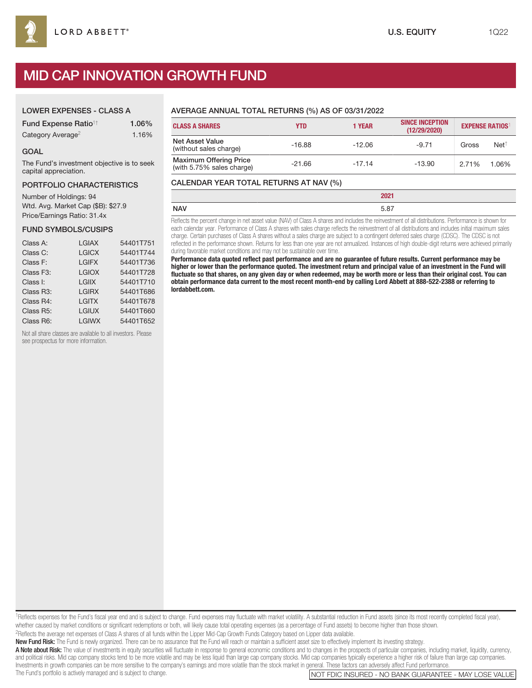# MID CAP INNOVATION GROWTH FUND

#### LOWER EXPENSES - CLASS A

| Fund Expense Ratio <sup>11</sup> | 1.06% |
|----------------------------------|-------|
| Category Average <sup>2</sup>    | 1.16% |

#### GOAL

The Fund's investment objective is to seek capital appreciation.

#### PORTFOLIO CHARACTERISTICS

Number of Holdings: 94 Wtd. Avg. Market Cap (\$B): \$27.9 Price/Earnings Ratio: 31.4x

#### FUND SYMBOLS/CUSIPS

| Class A:               | <b>LGIAX</b> | 54401T751 |
|------------------------|--------------|-----------|
| Class C:               | <b>LGICX</b> | 54401T744 |
| Class F:               | <b>LGIFX</b> | 54401T736 |
| Class F <sub>3</sub> : | <b>LGIOX</b> | 54401T728 |
| Class I:               | <b>LGIIX</b> | 54401T710 |
| Class R3:              | <b>LGIRX</b> | 54401T686 |
| Class R4:              | <b>LGITX</b> | 54401T678 |
| Class R5:              | <b>LGIUX</b> | 54401T660 |
| Class R6:              | <b>LGIWX</b> | 54401T652 |

Not all share classes are available to all investors. Please see prospectus for more information.

# AVERAGE ANNUAL TOTAL RETURNS (%) AS OF 03/31/2022

| <b>CLASS A SHARES</b>                                      | <b>YTD</b> | <b>1 YEAR</b> | <b>SINCE INCEPTION</b><br>(12/29/2020) |       | <b>EXPENSE RATIOS</b> |
|------------------------------------------------------------|------------|---------------|----------------------------------------|-------|-----------------------|
| <b>Net Asset Value</b><br>(without sales charge)           | $-16.88$   | $-12.06$      | $-9.71$                                | Gross | Net <sup>†</sup>      |
| <b>Maximum Offering Price</b><br>(with 5.75% sales charge) | $-21.66$   | $-17.14$      | $-13.90$                               | 2.71% | 1.06%                 |

### CALENDAR YEAR TOTAL RETURNS AT NAV (%)

|            | 2021                                                                                                                                              |
|------------|---------------------------------------------------------------------------------------------------------------------------------------------------|
| <b>NAV</b> | 5.87                                                                                                                                              |
|            | . Deficite the compact descent is and controller MIAN of Olses A shows and includes the microcated at all distributions. Dedenmarks in shorts for |

Reflects the percent change in net asset value (NAV) of Class A shares and includes the reinvestment of all distributions. Performance is shown for each calendar year. Performance of Class A shares with sales charge reflects the reinvestment of all distributions and includes initial maximum sales charge. Certain purchases of Class A shares without a sales charge are subject to a contingent deferred sales charge (CDSC). The CDSC is not reflected in the performance shown. Returns for less than one year are not annualized. Instances of high double-digit returns were achieved primarily during favorable market conditions and may not be sustainable over time.

**Performance data quoted reflect past performance and are no guarantee of future results. Current performance may be higher or lower than the performance quoted. The investment return and principal value of an investment in the Fund will fluctuate so that shares, on any given day or when redeemed, may be worth more or less than their original cost. You can obtain performance data current to the most recent month-end by calling Lord Abbett at 888-522-2388 or referring to lordabbett.com.**

1Reflects expenses for the Fund's fiscal year end and is subject to change. Fund expenses may fluctuate with market volatility. A substantial reduction in Fund assets (since its most recently completed fiscal year), whether caused by market conditions or significant redemptions or both, will likely cause total operating expenses (as a percentage of Fund assets) to become higher than those shown.

2Reflects the average net expenses of Class A shares of all funds within the Lipper Mid-Cap Growth Funds Category based on Lipper data available.

New Fund Risk: The Fund is newly organized. There can be no assurance that the Fund will reach or maintain a sufficient asset size to effectively implement its investing strategy.

A Note about Risk: The value of investments in equity securities will fluctuate in response to general economic conditions and to changes in the prospects of particular companies, including market, liquidity, currency, and political risks. Mid cap company stocks tend to be more volatile and may be less liquid than large cap company stocks. Mid cap companies typically experience a higher risk of failure than large cap companies. Investments in growth companies can be more sensitive to the company's earnings and more volatile than the stock market in general. These factors can adversely affect Fund performance<br>The Fund's portfolio is actively manag